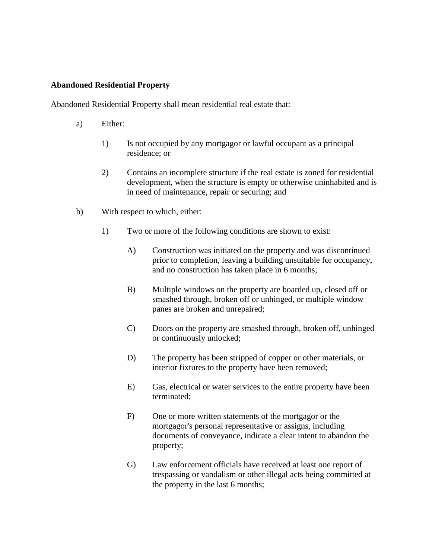## **Abandoned Residential Property**

Abandoned Residential Property shall mean residential real estate that:

- a) Either:
	- 1) Is not occupied by any mortgagor or lawful occupant as a principal residence; or
	- 2) Contains an incomplete structure if the real estate is zoned for residential development, when the structure is empty or otherwise uninhabited and is in need of maintenance, repair or securing; and
- b) With respect to which, either:
	- 1) Two or more of the following conditions are shown to exist:
		- A) Construction was initiated on the property and was discontinued prior to completion, leaving a building unsuitable for occupancy, and no construction has taken place in 6 months;
		- B) Multiple windows on the property are boarded up, closed off or smashed through, broken off or unhinged, or multiple window panes are broken and unrepaired;
		- C) Doors on the property are smashed through, broken off, unhinged or continuously unlocked;
		- D) The property has been stripped of copper or other materials, or interior fixtures to the property have been removed;
		- E) Gas, electrical or water services to the entire property have been terminated;
		- F) One or more written statements of the mortgagor or the mortgagor's personal representative or assigns, including documents of conveyance, indicate a clear intent to abandon the property;
		- G) Law enforcement officials have received at least one report of trespassing or vandalism or other illegal acts being committed at the property in the last 6 months;